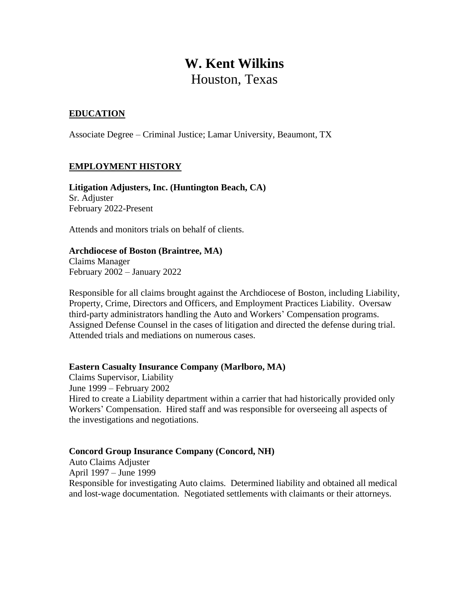# **W. Kent Wilkins** Houston, Texas

# **EDUCATION**

Associate Degree – Criminal Justice; Lamar University, Beaumont, TX

## **EMPLOYMENT HISTORY**

**Litigation Adjusters, Inc. (Huntington Beach, CA)** Sr. Adjuster February 2022-Present

Attends and monitors trials on behalf of clients.

## **Archdiocese of Boston (Braintree, MA)**

Claims Manager February 2002 – January 2022

Responsible for all claims brought against the Archdiocese of Boston, including Liability, Property, Crime, Directors and Officers, and Employment Practices Liability. Oversaw third-party administrators handling the Auto and Workers' Compensation programs. Assigned Defense Counsel in the cases of litigation and directed the defense during trial. Attended trials and mediations on numerous cases.

#### **Eastern Casualty Insurance Company (Marlboro, MA)**

Claims Supervisor, Liability June 1999 – February 2002 Hired to create a Liability department within a carrier that had historically provided only Workers' Compensation. Hired staff and was responsible for overseeing all aspects of the investigations and negotiations.

#### **Concord Group Insurance Company (Concord, NH)**

Auto Claims Adjuster

April 1997 – June 1999

Responsible for investigating Auto claims. Determined liability and obtained all medical and lost-wage documentation. Negotiated settlements with claimants or their attorneys.